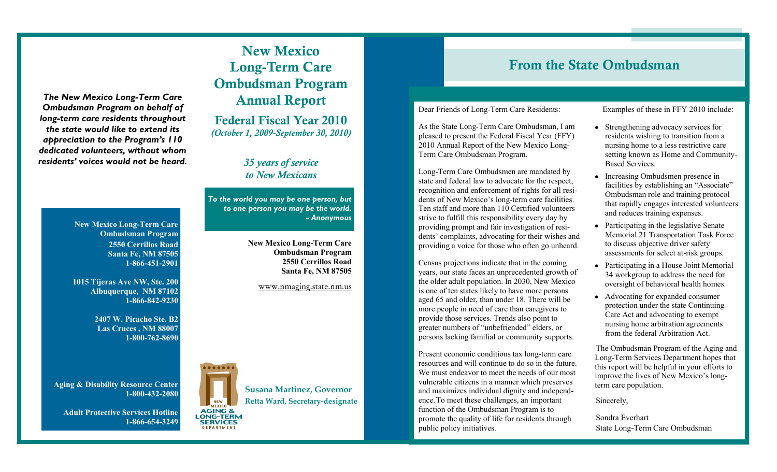*The New Mexico Long-Term Care Ombudsman Program on behalf of long-term care residents throughout the state would like to extend its appreciation to the Program's 110 dedicated volunteers, without whom residents' voices would not be heard.*

> **New Mexico Long-Term Care Ombudsman Program 2550 Cerrillos Road Santa Fe, NM 87505 1-866-451-2901**

> **1015 Tijeras Ave NW, Ste. 200 Albuquerque, NM 87102 1-866-842-9230**

> > **2407 W. Picacho Ste. B2 Las Cruces , NM 88007 1-800-762-8690**

**Aging & Disability Resource Center 1-800-432-2080**

**Adult Protective Services Hotline 1-866-654-3249**



**Federal Fiscal Year 2010** *(October 1, 2009-September 30, 2010)*

> *35 years of service to New Mexicans*

*To the world you may be one person, but to one person you may be the world. - Anonymous*

> **New Mexico Long-Term Care Ombudsman Program 2550 Cerrillos Road Santa Fe, NM 87505**

> > www.nmaging.state.nm.us



# **From the State Ombudsman**

#### Dear Friends of Long-Term Care Residents:

As the State Long-Term Care Ombudsman, I am pleased to present the Federal Fiscal Year (FFY) 2010 Annual Report of the New Mexico Long-Term Care Ombudsman Program.

Long-Term Care Ombudsmen are mandated by state and federal law to advocate for the respect, recognition and enforcement of rights for all residents of New Mexico's long-term care facilities. Ten staff and more than 110 Certified volunteers strive to fulfill this responsibility every day by providing prompt and fair investigation of residents' complaints, advocating for their wishes and providing a voice for those who often go unheard.

Census projections indicate that in the coming years, our state faces an unprecedented growth of the older adult population. In 2030, New Mexico is one of ten states likely to have more persons aged 65 and older, than under 18. There will be more people in need of care than caregivers to provide those services. Trends also point to greater numbers of "unbefriended" elders, or persons lacking familial or community supports.

Present economic conditions tax long-term care resources and will continue to do so in the future. We must endeavor to meet the needs of our most vulnerable citizens in a manner which preserves and maximizes individual dignity and independence.To meet these challenges, an important function of the Ombudsman Program is to promote the quality of life for residents through public policy initiatives.

Examples of these in FFY 2010 include:

- Strengthening advocacy services for residents wishing to transition from a nursing home to a less restrictive care setting known as Home and Community-Based Services.
- Increasing Ombudsmen presence in facilities by establishing an "Associate" Ombudsman role and training protocol that rapidly engages interested volunteers and reduces training expenses.
- Participating in the legislative Senate Memorial 21 Transportation Task Force to discuss objective driver safety assessments for select at-risk groups.
- Participating in a House Joint Memorial 34 workgroup to address the need for oversight of behavioral health homes.
- Advocating for expanded consumer protection under the state Continuing Care Act and advocating to exempt nursing home arbitration agreements from the federal Arbitration Act.

The Ombudsman Program of the Aging and Long-Term Services Department hopes that this report will be helpful in your efforts to improve the lives of New Mexico's longterm care population.

Sincerely,

Sondra Everhart State Long-Term Care Ombudsman